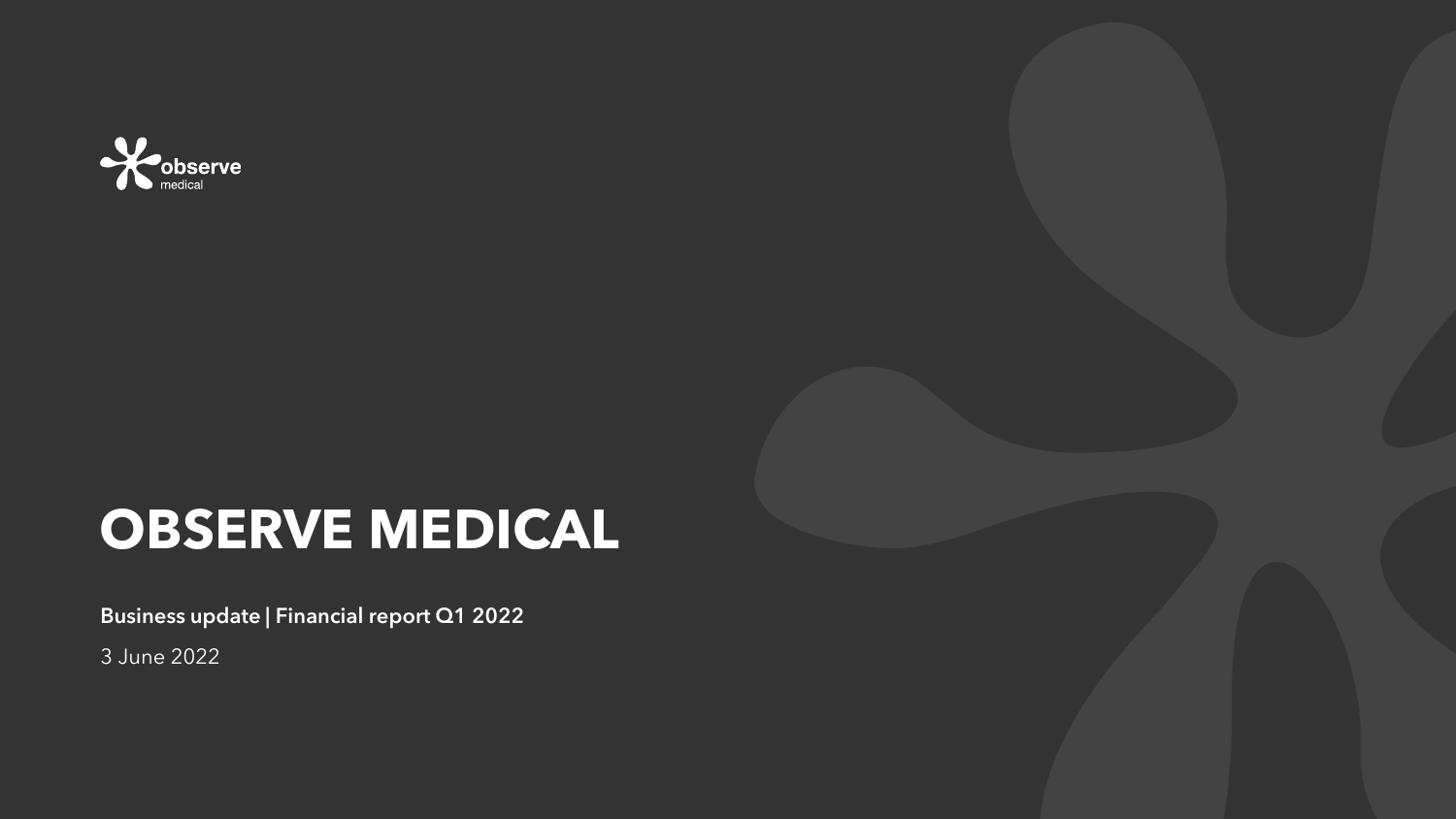

# **OBSERVE MEDICAL**

Business update | Financial report Q1 2022

3 June 2022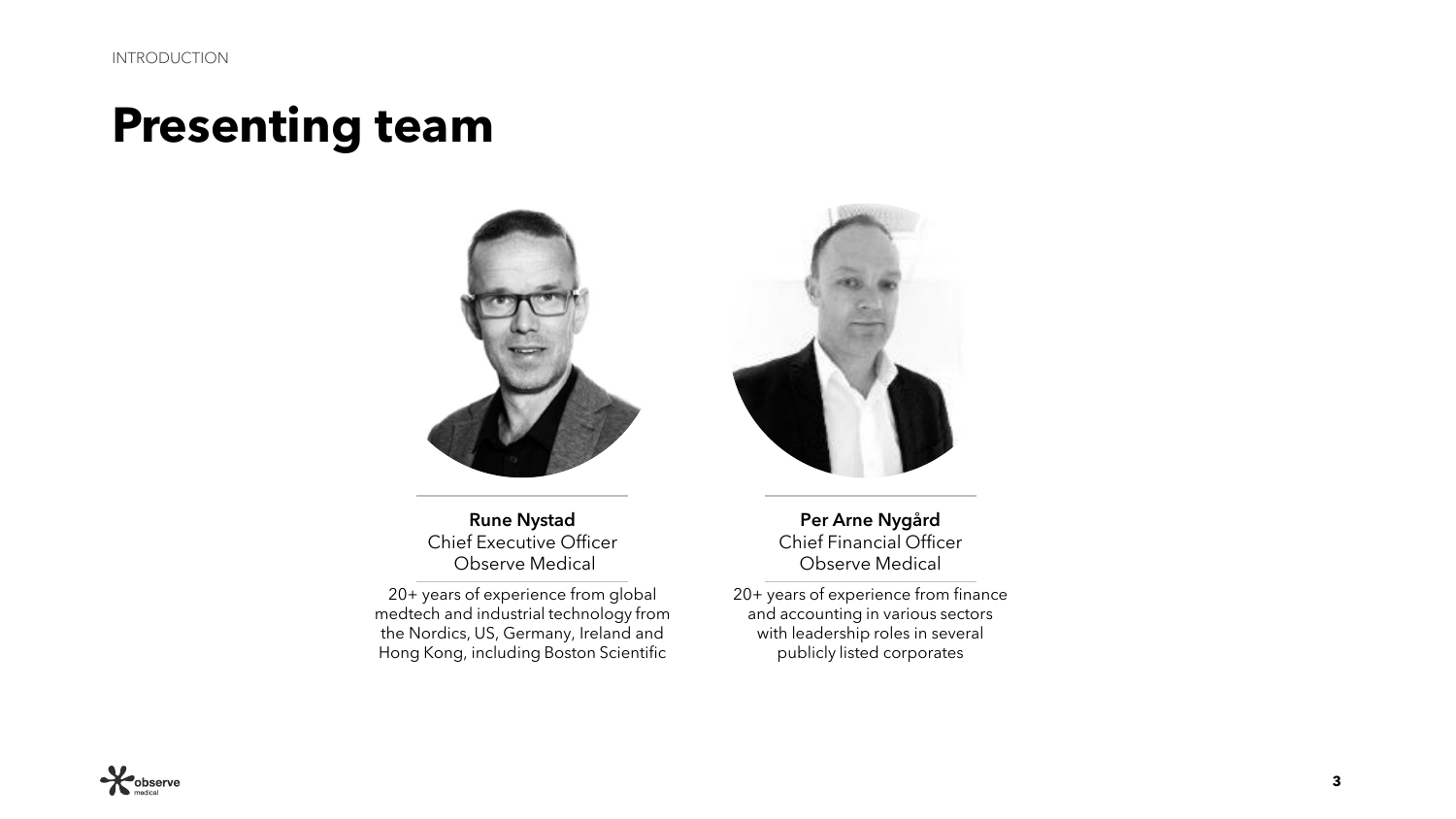## **Presenting team**



Rune Nystad Chief Executive Officer Observe Medical

20+ years of experience from global medtech and industrial technology from the Nordics, US, Germany, Ireland and Hong Kong, including Boston Scientific



Per Arne Nygård Chief Financial Officer Observe Medical

20+ years of experience from finance and accounting in various sectors with leadership roles in several publicly listed corporates

observe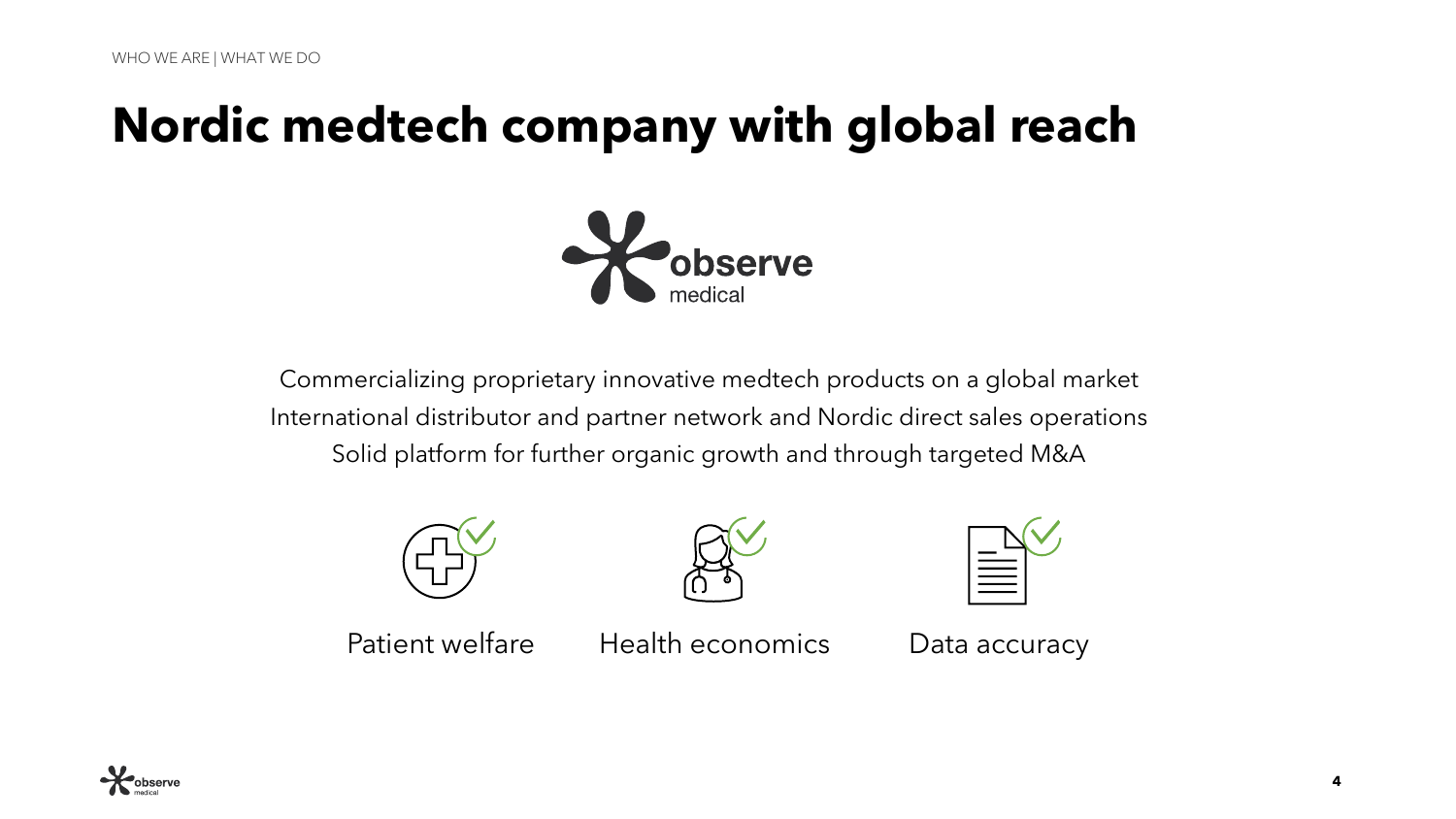# **Nordic medtech company with global reach**



Commercializing proprietary innovative medtech products on a global market International distributor and partner network and Nordic direct sales operations Solid platform for further organic growth and through targeted M&A





Patient welfare Health economics Data accuracy



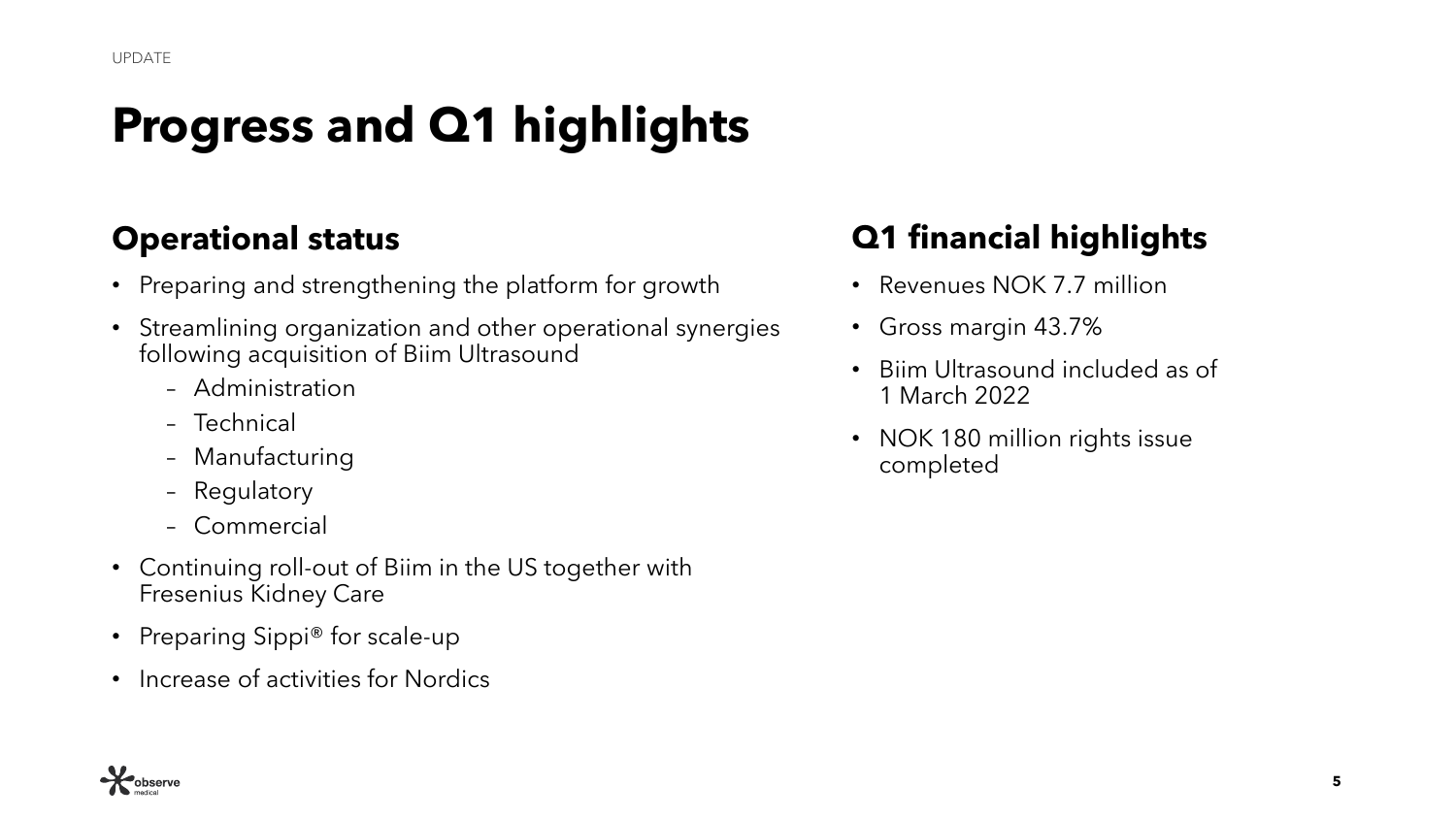# **Progress and Q1 highlights**

### **Operational status**

- Preparing and strengthening the platform for growth
- Streamlining organization and other operational synergies following acquisition of Biim Ultrasound
	- Administration
	- Technical
	- Manufacturing
	- Regulatory
	- Commercial
- Continuing roll-out of Biim in the US together with Fresenius Kidney Care
- Preparing Sippi® for scale-up
- Increase of activities for Nordics

### **Q1 financial highlights**

- Revenues NOK 7.7 million
- Gross margin 43.7%
- Biim Ultrasound included as of 1 March 2022
- NOK 180 million rights issue completed

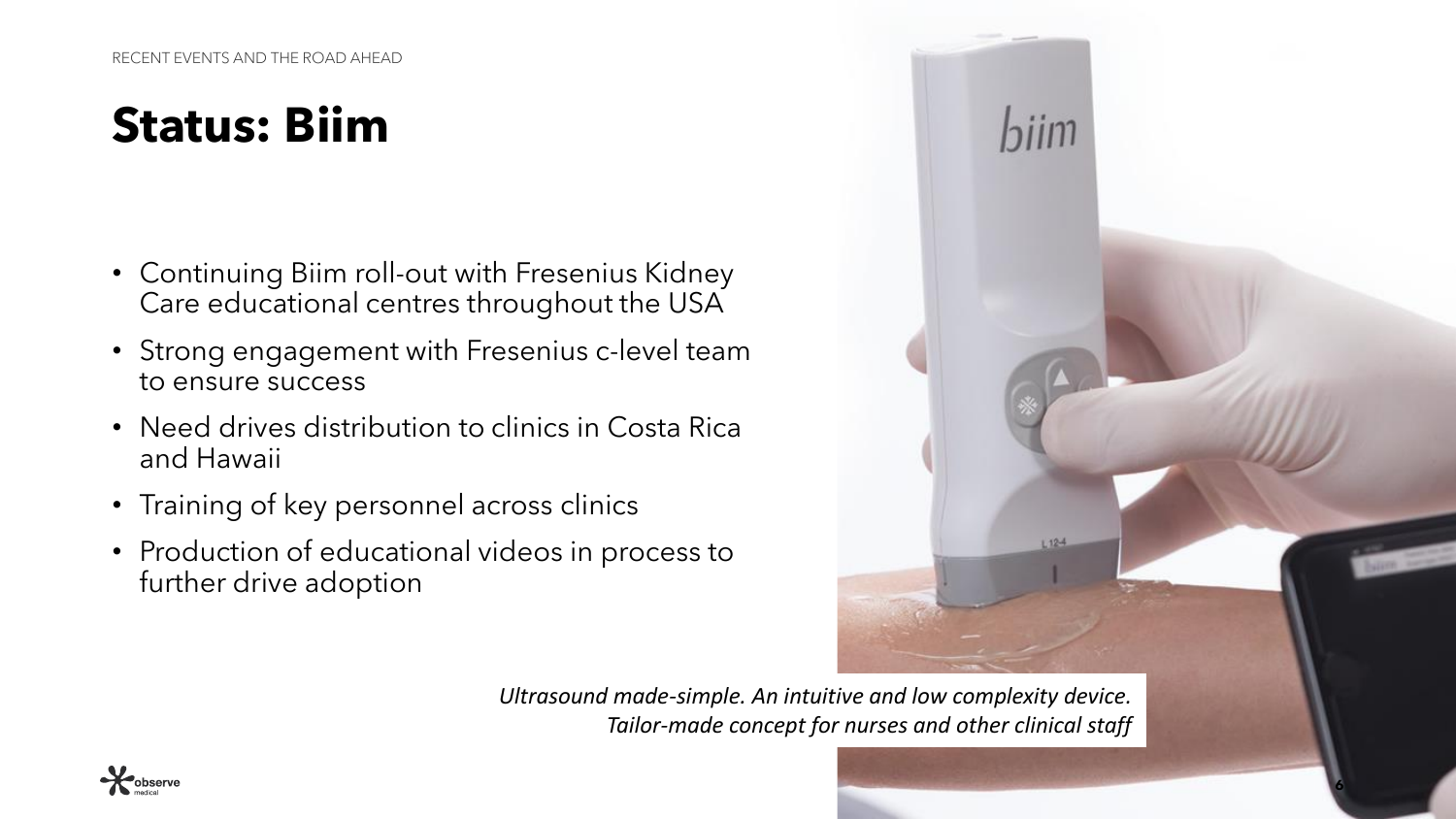# **Status: Biim**

- Continuing Biim roll-out with Fresenius Kidney Care educational centres throughout the USA
- Strong engagement with Fresenius c-level team to ensure success
- Need drives distribution to clinics in Costa Rica and Hawaii
- Training of key personnel across clinics
- Production of educational videos in process to further drive adoption

 $112-4$ 

**6**

*Ultrasound made-simple. An intuitive and low complexity device. Tailor-made concept for nurses and other clinical staff*

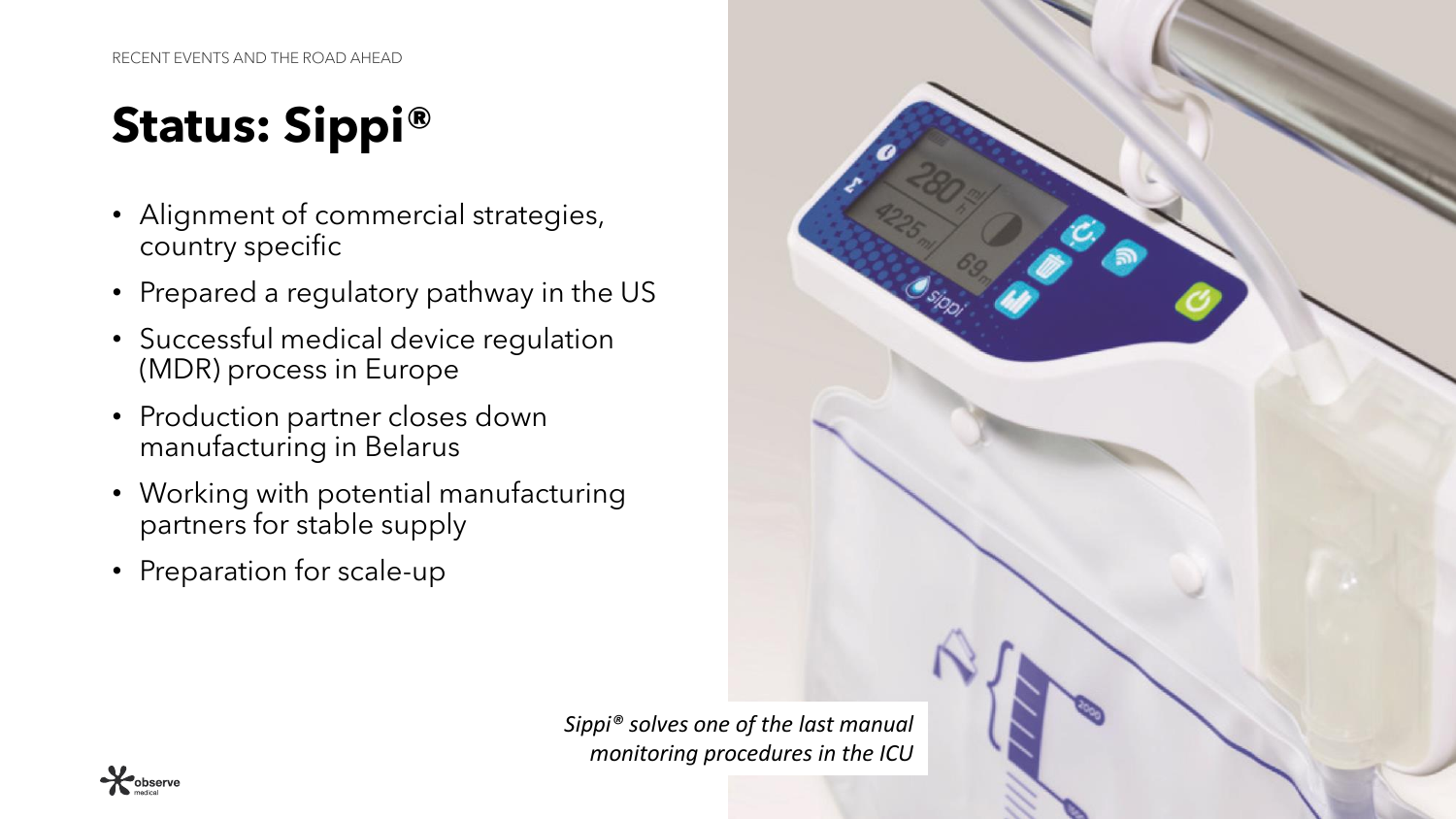# **Status: Sippi®**

- Alignment of commercial strategies, country specific
- Prepared a regulatory pathway in the US
- Successful medical device regulation (MDR) process in Europe
- Production partner closes down manufacturing in Belarus
- Working with potential manufacturing partners for stable supply
- Preparation for scale-up

*Sippi® solves one of the last manual monitoring procedures in the ICU*

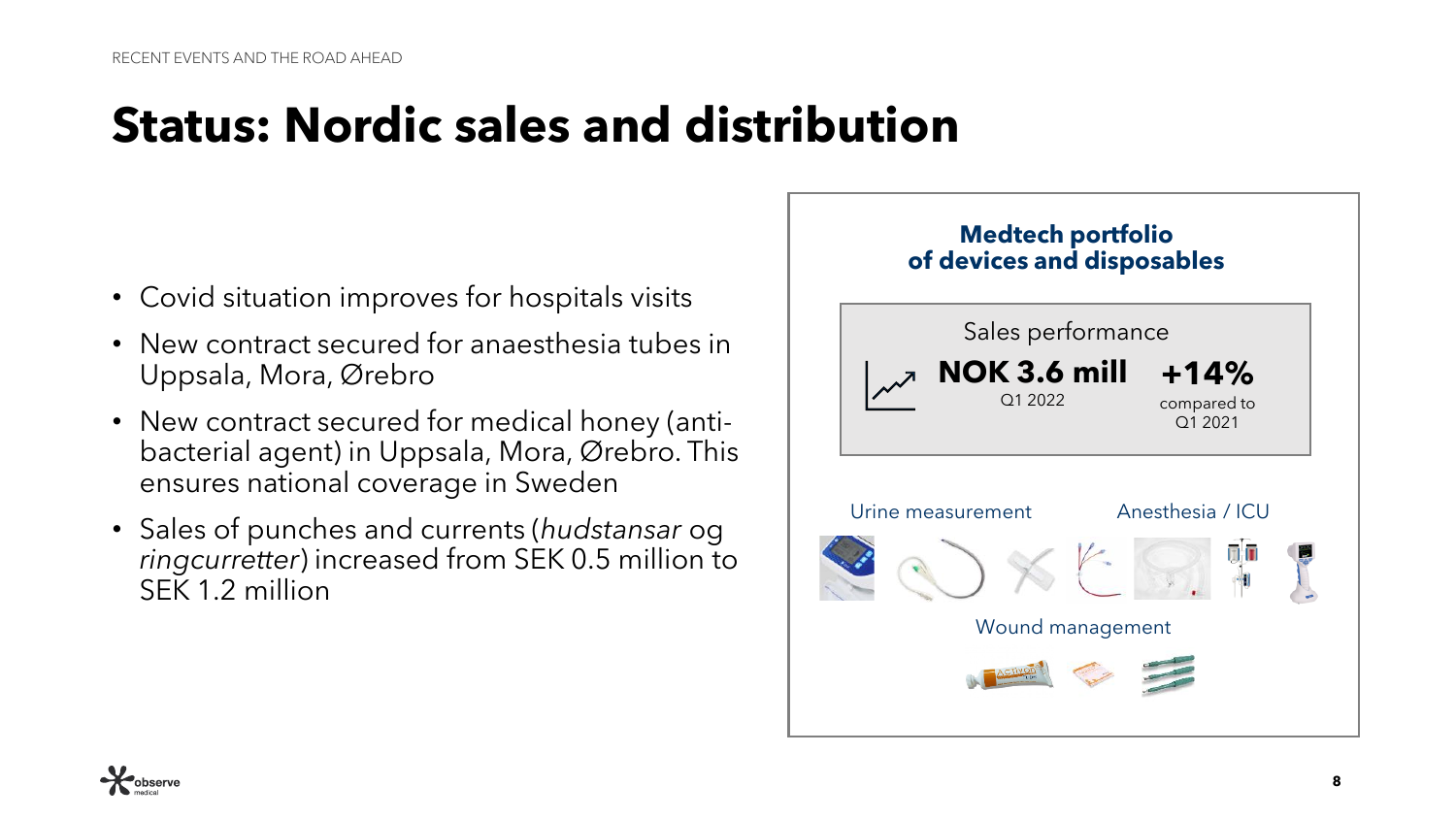# **Status: Nordic sales and distribution**

- Covid situation improves for hospitals visits
- New contract secured for anaesthesia tubes in Uppsala, Mora, Ørebro
- New contract secured for medical honey (antibacterial agent) in Uppsala, Mora, Ørebro. This ensures national coverage in Sweden
- Sales of punches and currents (*hudstansar* og *ringcurretter*) increased from SEK 0.5 million to SEK 1.2 million

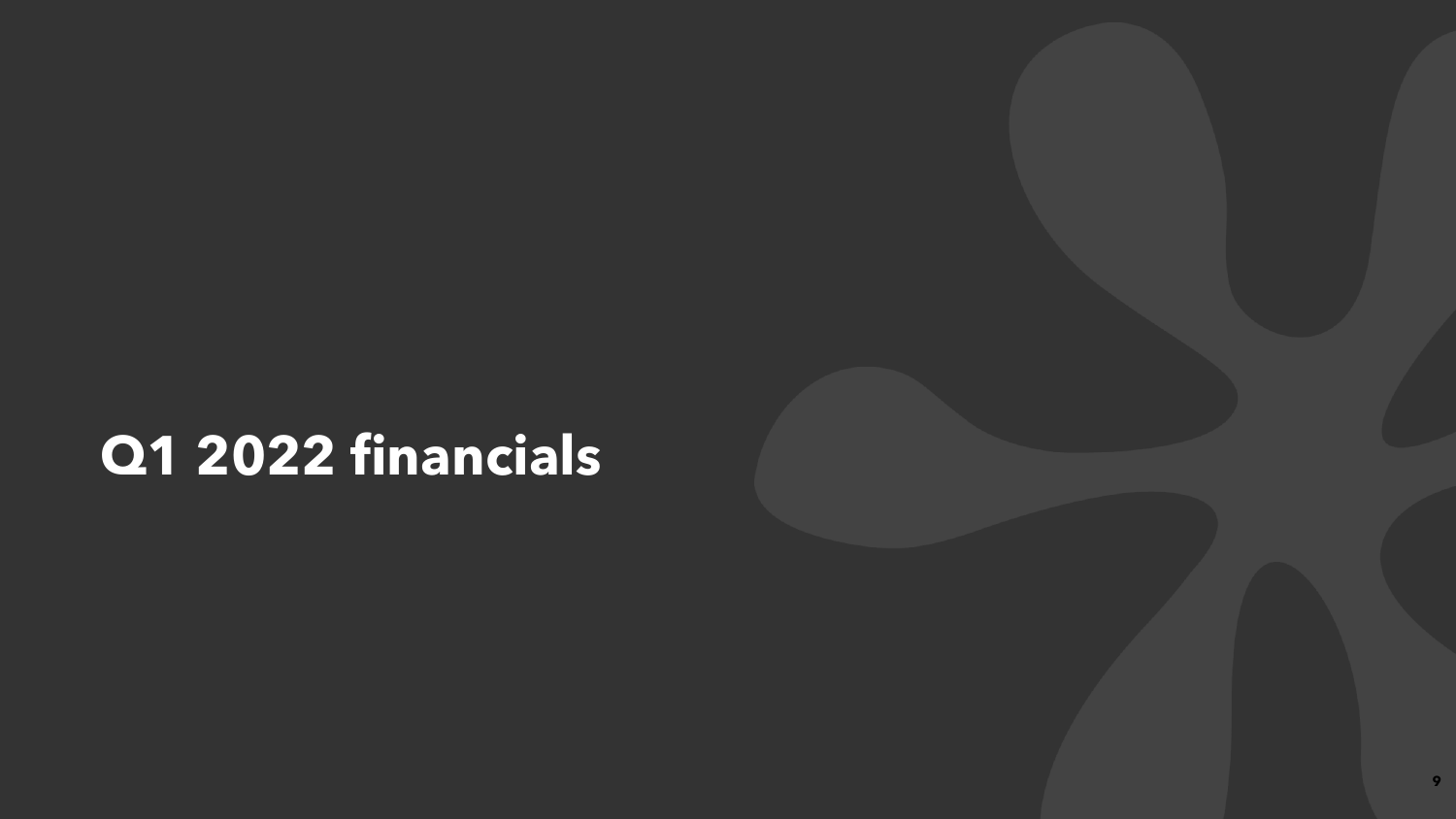# **Q1 2022 financials**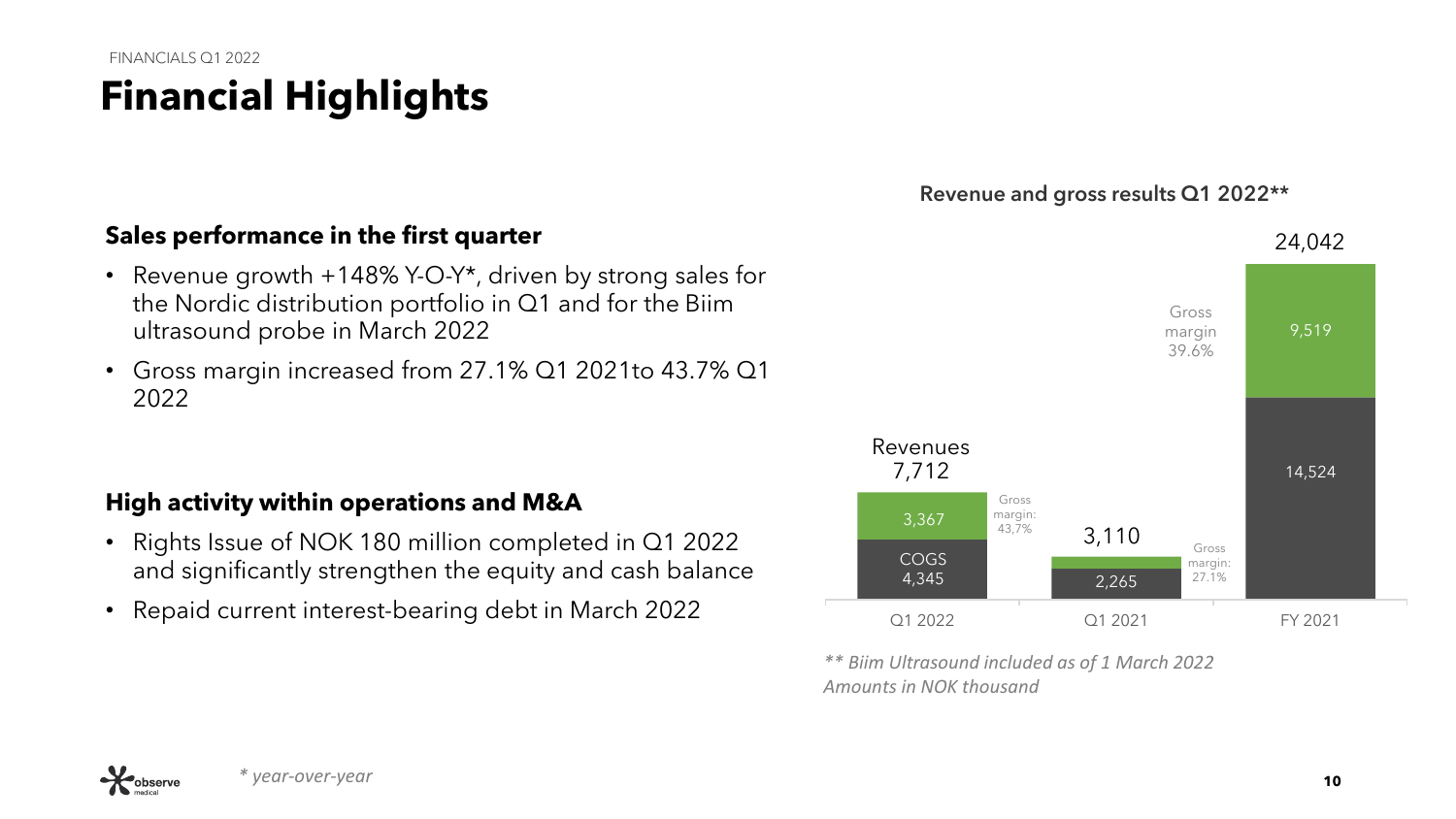## **Financial Highlights**

#### **Sales performance in the first quarter**

- Revenue growth +148% Y-O-Y\*, driven by strong sales for the Nordic distribution portfolio in Q1 and for the Biim ultrasound probe in March 2022
- Gross margin increased from 27.1% Q1 2021to 43.7% Q1 2022

#### **High activity within operations and M&A**

*\* year-over-year*

- Rights Issue of NOK 180 million completed in Q1 2022 and significantly strengthen the equity and cash balance
- Repaid current interest-bearing debt in March 2022

![](_page_8_Figure_8.jpeg)

Revenue and gross results Q1 2022\*\*

*\*\* Biim Ultrasound included as of 1 March 2022 Amounts in NOK thousand*

**10**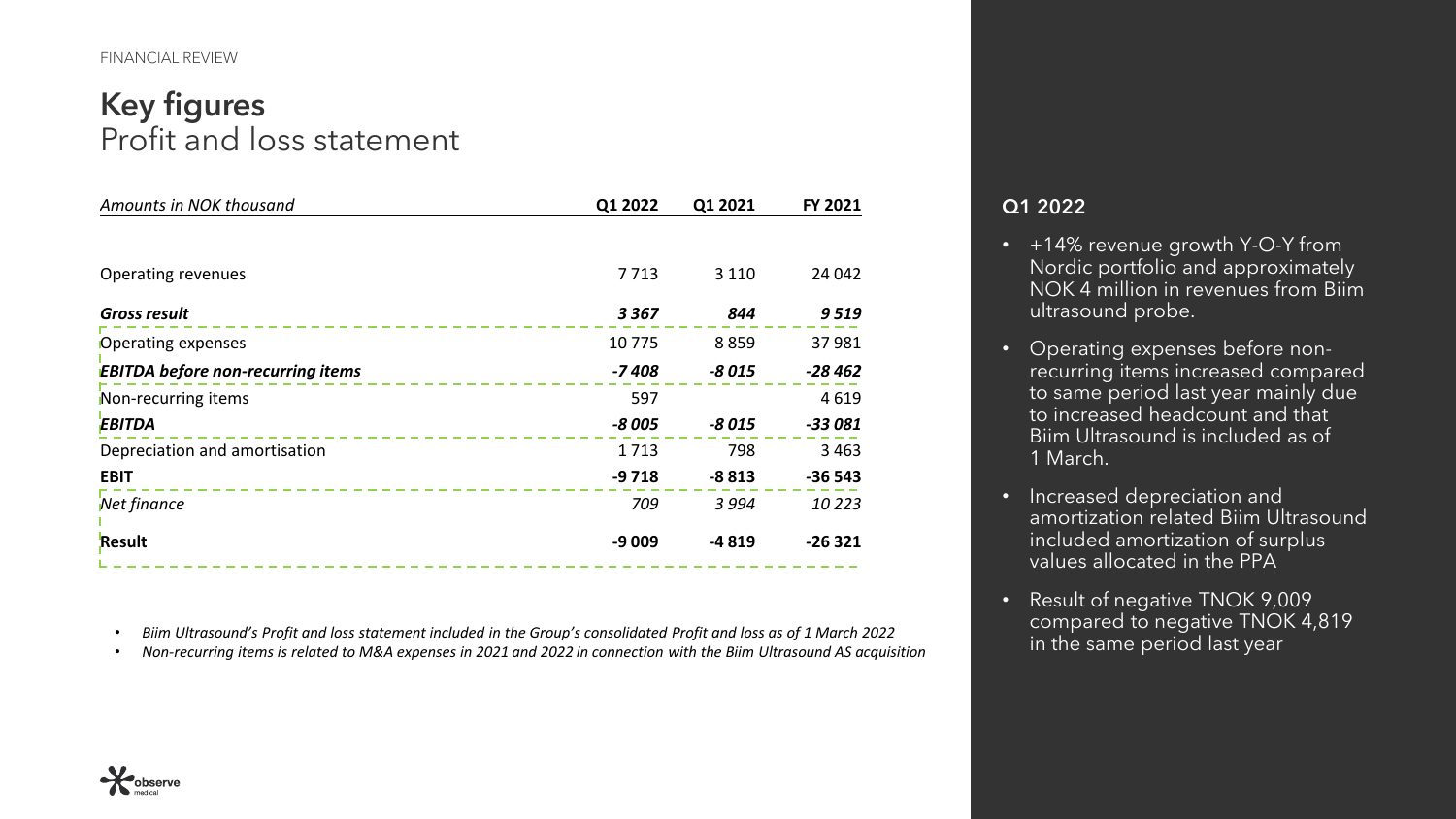#### FINANCIAL REVIEW

### Key figures Profit and loss statement

| FY 2021  |
|----------|
|          |
| 24 042   |
| 9519     |
| 37981    |
| $-28462$ |
| 4619     |
| -33 081  |
| 3463     |
| $-36543$ |
| 10 2 23  |
| $-26321$ |
|          |

• *Biim Ultrasound's Profit and loss statement included in the Group's consolidated Profit and loss as of 1 March 2022*

• *Non-recurring items is related to M&A expenses in 2021 and 2022 in connection with the Biim Ultrasound AS acquisition*

#### Q1 2022

- +14% revenue growth Y-O-Y from Nordic portfolio and approximately NOK 4 million in revenues from Biim ultrasound probe.
- Operating expenses before nonrecurring items increased compared to same period last year mainly due to increased headcount and that Biim Ultrasound is included as of 1 March.
- Increased depreciation and amortization related Biim Ultrasound included amortization of surplus values allocated in the PPA
- Result of negative TNOK 9,009 compared to negative TNOK 4,819 in the same period last year

![](_page_9_Figure_10.jpeg)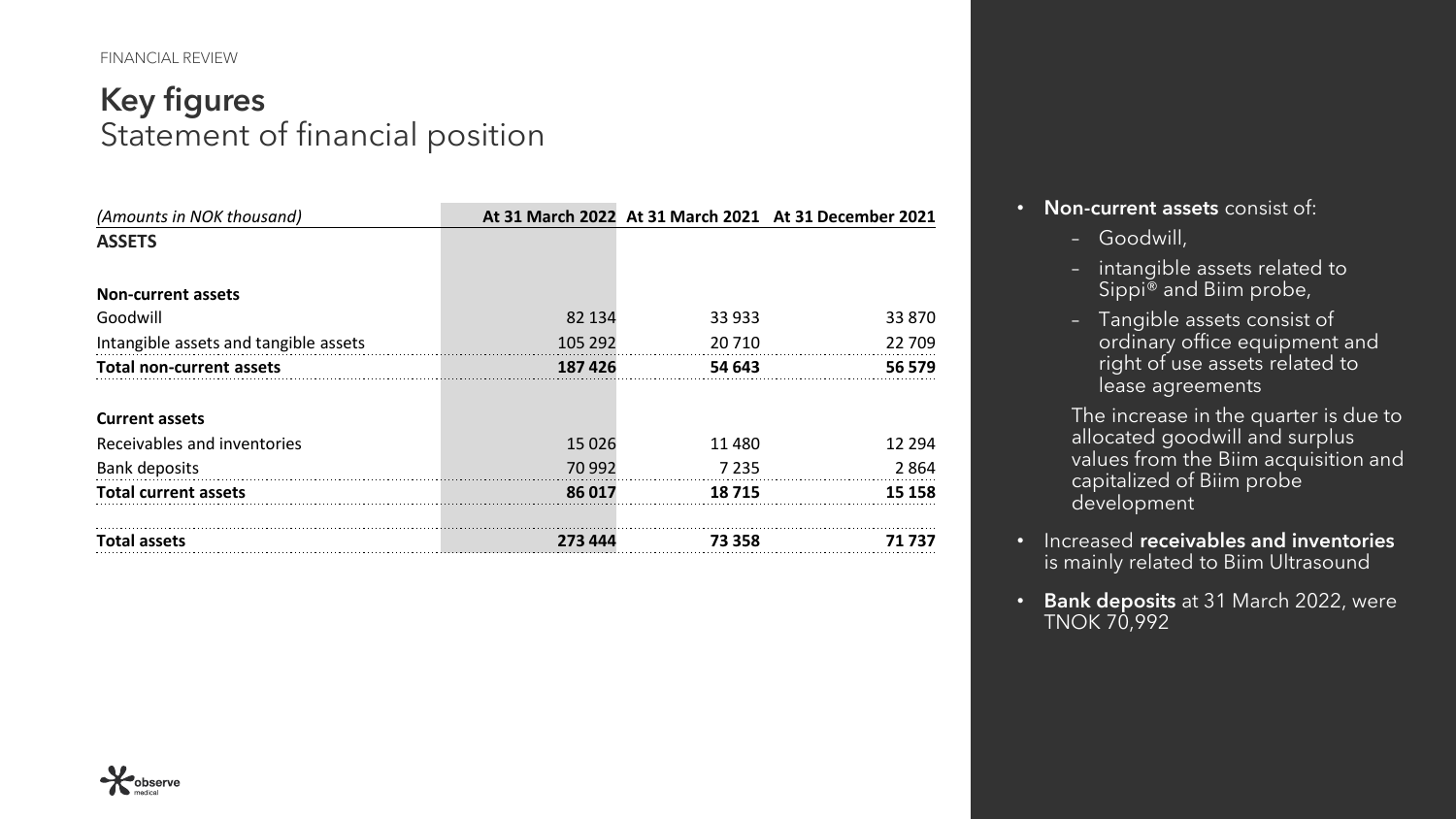#### Key figures Statement of financial position

| (Amounts in NOK thousand)             |         |         | At 31 March 2022 At 31 March 2021 At 31 December 2021 |
|---------------------------------------|---------|---------|-------------------------------------------------------|
| <b>ASSETS</b>                         |         |         |                                                       |
|                                       |         |         |                                                       |
| <b>Non-current assets</b>             |         |         |                                                       |
| Goodwill                              | 82 134  | 33 933  | 33 870                                                |
| Intangible assets and tangible assets | 105 292 | 20710   | 22709                                                 |
| <b>Total non-current assets</b>       | 187426  | 54 643  | 56 579                                                |
|                                       |         |         |                                                       |
| <b>Current assets</b>                 |         |         |                                                       |
| Receivables and inventories           | 15026   | 11 480  | 12 2 9 4                                              |
| <b>Bank deposits</b>                  | 70 992  | 7 2 3 5 | 2864                                                  |
| <b>Total current assets</b>           | 86 017  | 18715   | 15 158                                                |
|                                       |         |         |                                                       |
| <b>Total assets</b>                   | 273 444 | 73 358  | 71 737                                                |

- Non-current assets consist of:
	- Goodwill,
	- intangible assets related to Sippi® and Biim probe,
	- Tangible assets consist of ordinary office equipment and right of use assets related to lease agreements

The increase in the quarter is due to allocated goodwill and surplus values from the Biim acquisition and capitalized of Biim probe development

- Increased receivables and inventories is mainly related to Biim Ultrasound
- Bank deposits at 31 March 2022, were TNOK 70,992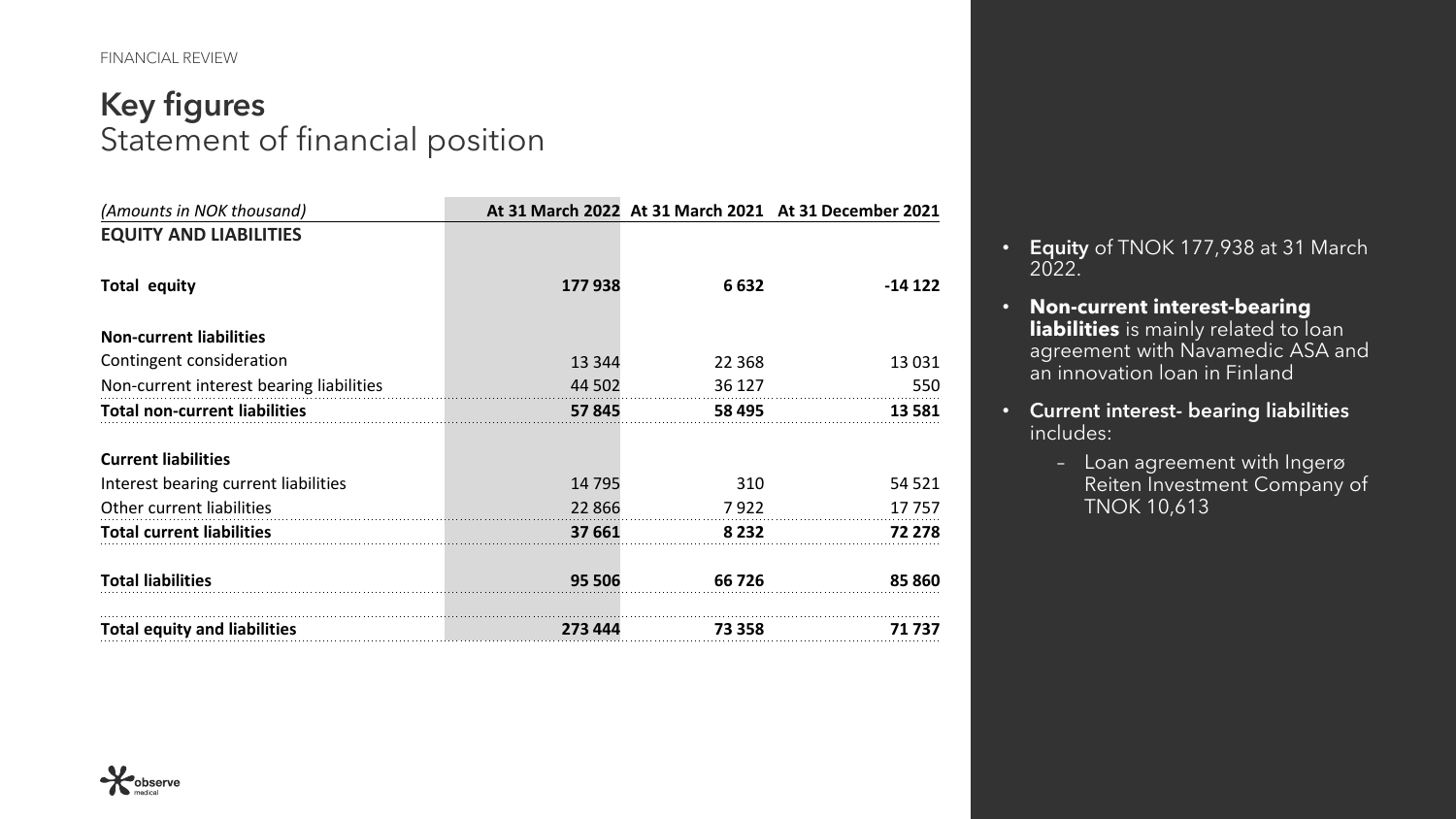### Key figures Statement of financial position

| (Amounts in NOK thousand)                |          |         | At 31 March 2022 At 31 March 2021 At 31 December 2021 |
|------------------------------------------|----------|---------|-------------------------------------------------------|
| <b>EQUITY AND LIABILITIES</b>            |          |         |                                                       |
|                                          |          |         |                                                       |
| Total equity                             | 177938   | 6632    | -14 122                                               |
|                                          |          |         |                                                       |
| <b>Non-current liabilities</b>           |          |         |                                                       |
| Contingent consideration                 | 13 344   | 22 3 68 | 13 0 31                                               |
| Non-current interest bearing liabilities | 44 502   | 36 127  | 550                                                   |
| <b>Total non-current liabilities</b>     | 57845    | 58 495  | 13 5 8 1                                              |
|                                          |          |         |                                                       |
| <b>Current liabilities</b>               |          |         |                                                       |
| Interest bearing current liabilities     | 14 795   | 310     | 54 5 21                                               |
| Other current liabilities                | 22 8 6 6 | 7922    | 17757                                                 |
| <b>Total current liabilities</b>         | 37 661   | 8 2 3 2 | 72 278                                                |
| <b>Total liabilities</b>                 | 95 506   | 66 726  | 85 860                                                |
| <b>Total equity and liabilities</b>      | 273 444  | 73 358  | 71 737                                                |
|                                          |          |         |                                                       |

- Equity of TNOK 177,938 at 31 March 2022.
- **Non-current interest-bearing liabilities** is mainly related to loan agreement with Navamedic ASA and an innovation loan in Finland
- Current interest- bearing liabilities includes:
	- Loan agreement with Ingerø Reiten Investment Company of TNOK 10,613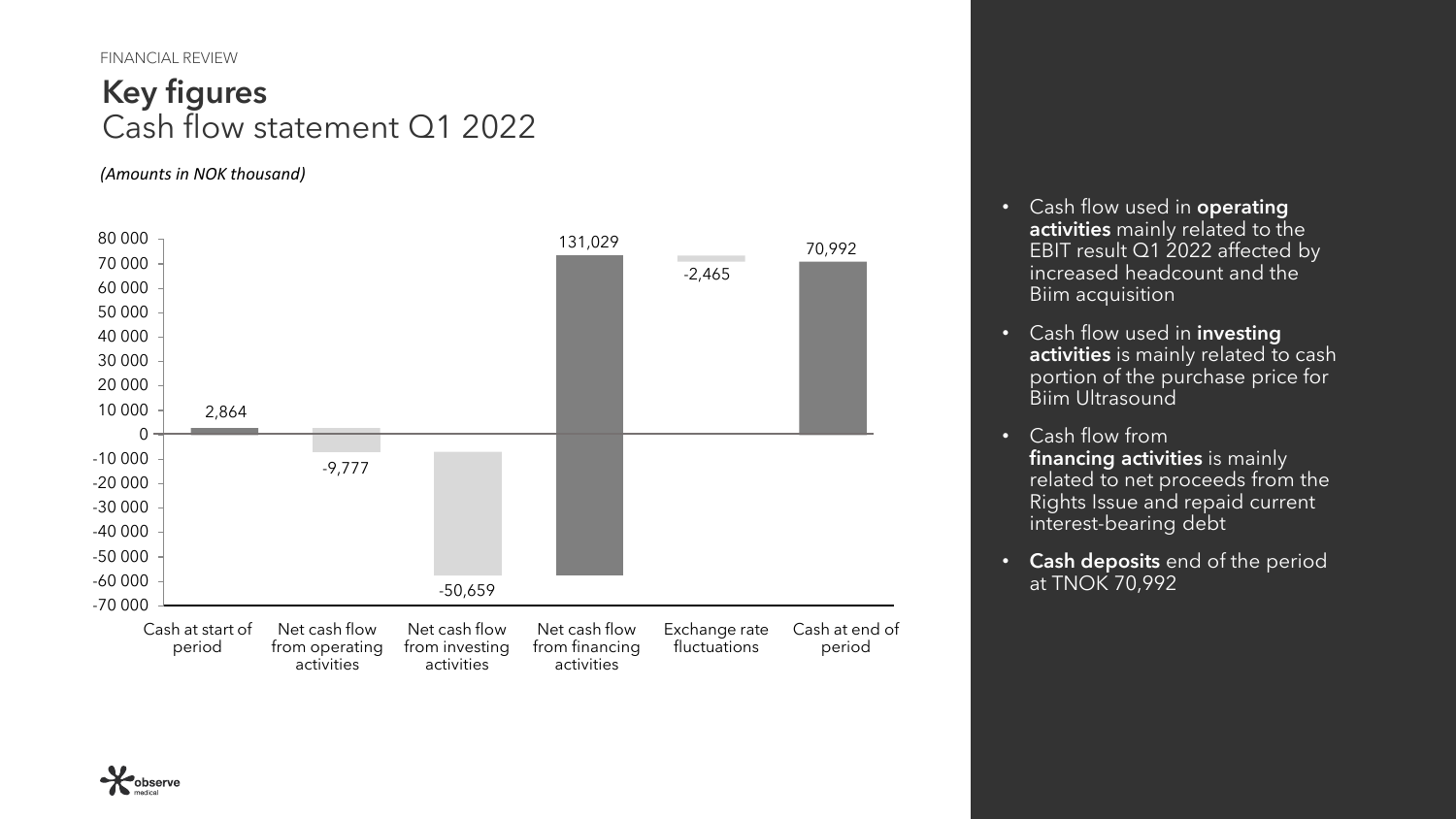FINANCIAL REVIEW

### Key figures Cash flow statement Q1 2022

*(Amounts in NOK thousand)*

![](_page_12_Figure_3.jpeg)

- Cash flow used in operating activities mainly related to the EBIT result Q1 2022 affected by increased headcount and the Biim acquisition
- Cash flow used in investing activities is mainly related to cash portion of the purchase price for Biim Ultrasound
- Cash flow from financing activities is mainly related to net proceeds from the Rights Issue and repaid current interest-bearing debt
- Cash deposits end of the period at TNOK 70,992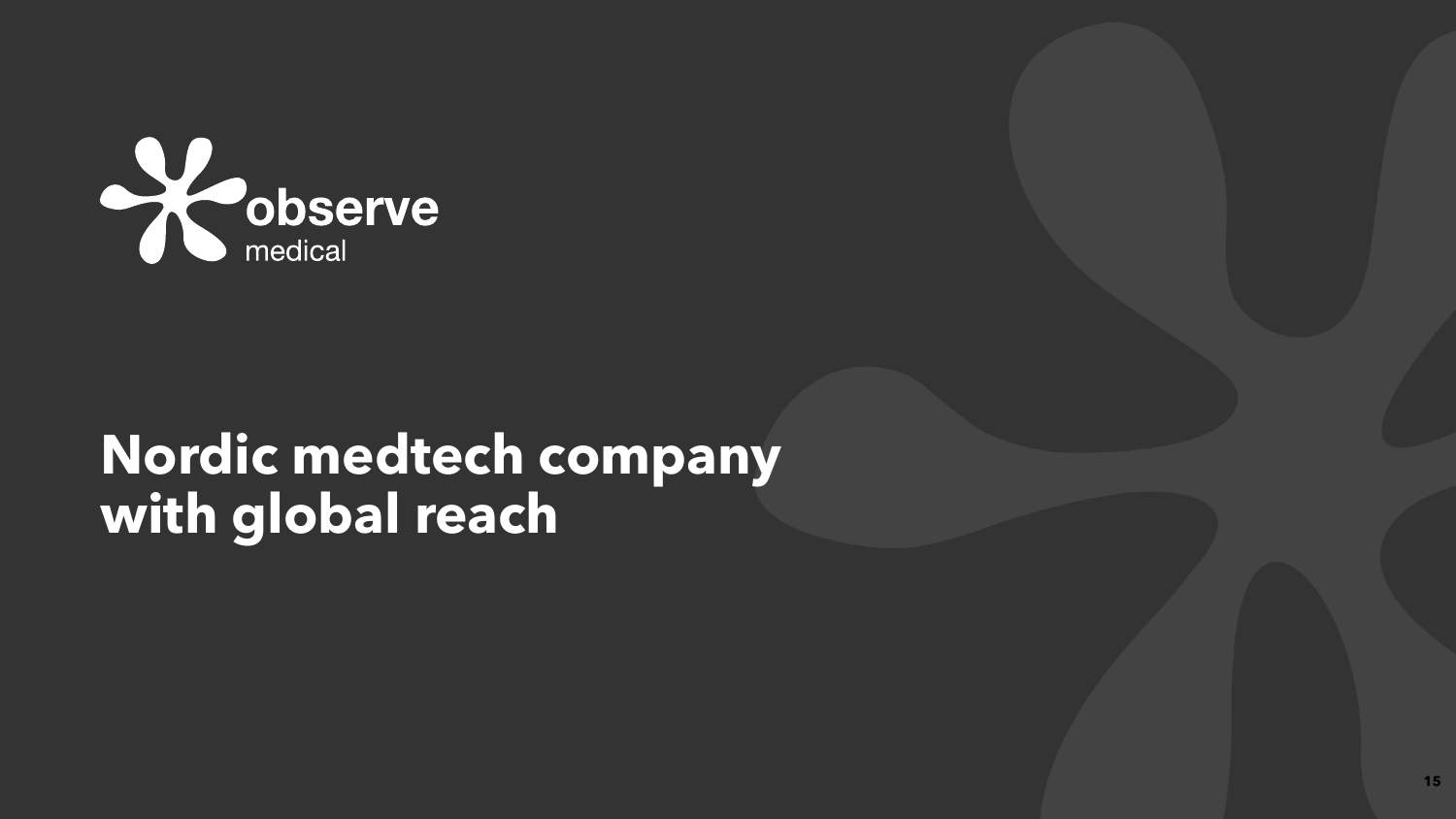![](_page_13_Picture_0.jpeg)

# **Nordic medtech company with global reach**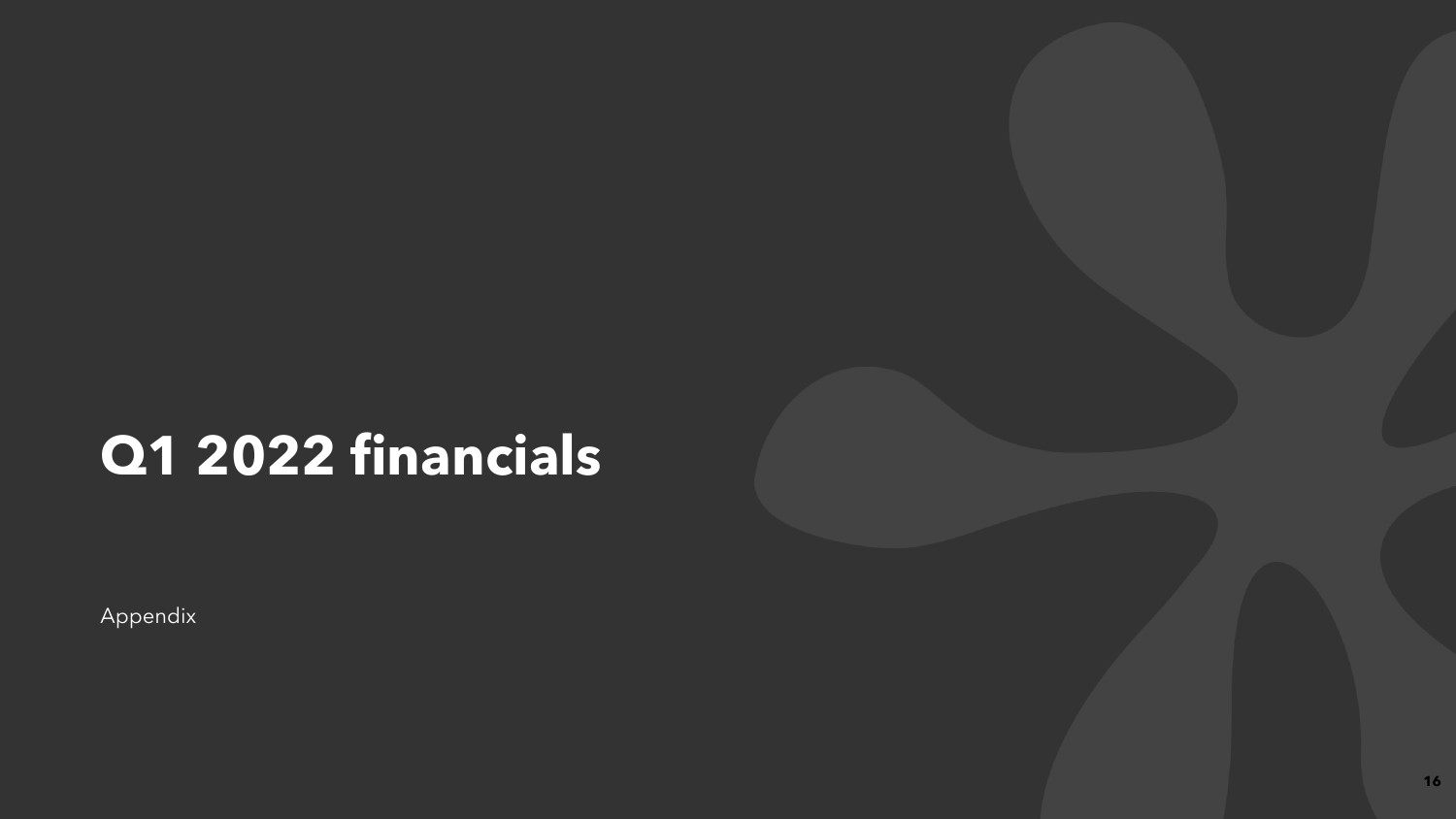# **Q1 2022 financials**

Appendix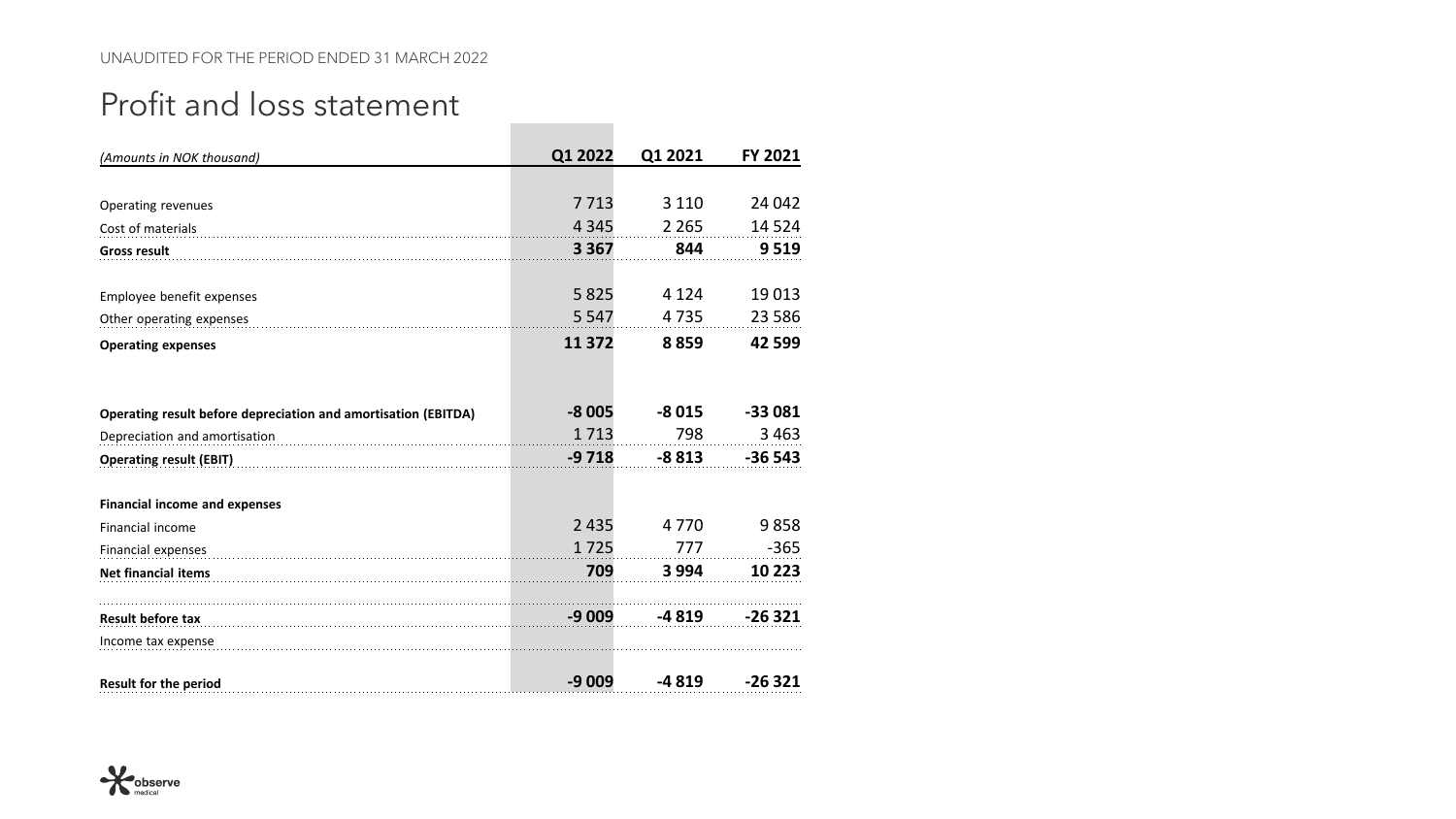### Profit and loss statement

| (Amounts in NOK thousand)                                      | Q1 2022 | Q1 2021 | FY 2021  |
|----------------------------------------------------------------|---------|---------|----------|
|                                                                |         |         |          |
| Operating revenues                                             | 7713    | 3 1 1 0 | 24 042   |
| Cost of materials                                              | 4 3 4 5 | 2 2 6 5 | 14 5 24  |
| <b>Gross result</b>                                            | 3 3 6 7 | 844     | 9519     |
|                                                                |         |         |          |
| Employee benefit expenses                                      | 5825    | 4 1 2 4 | 19013    |
| Other operating expenses                                       | 5 5 4 7 | 4735    | 23 586   |
| <b>Operating expenses</b>                                      | 11 372  | 8859    | 42 599   |
|                                                                |         |         |          |
|                                                                |         |         |          |
| Operating result before depreciation and amortisation (EBITDA) | $-8005$ | $-8015$ | $-33081$ |
| Depreciation and amortisation                                  | 1713    | 798     | 3463     |
| <b>Operating result (EBIT)</b>                                 | $-9718$ | $-8813$ | $-36543$ |
|                                                                |         |         |          |
| <b>Financial income and expenses</b>                           |         |         |          |
| Financial income                                               | 2 4 3 5 | 4 7 7 0 | 9858     |
| Financial expenses                                             | 1725    | 777     | $-365$   |
| <b>Net financial items</b>                                     | 709     | 3994    | 10 223   |
|                                                                |         |         |          |
| Result before tax                                              | $-9009$ | $-4819$ | $-26321$ |
| Income tax expense                                             |         |         |          |
|                                                                |         |         |          |
| Result for the period                                          | $-9009$ | $-4819$ | $-26321$ |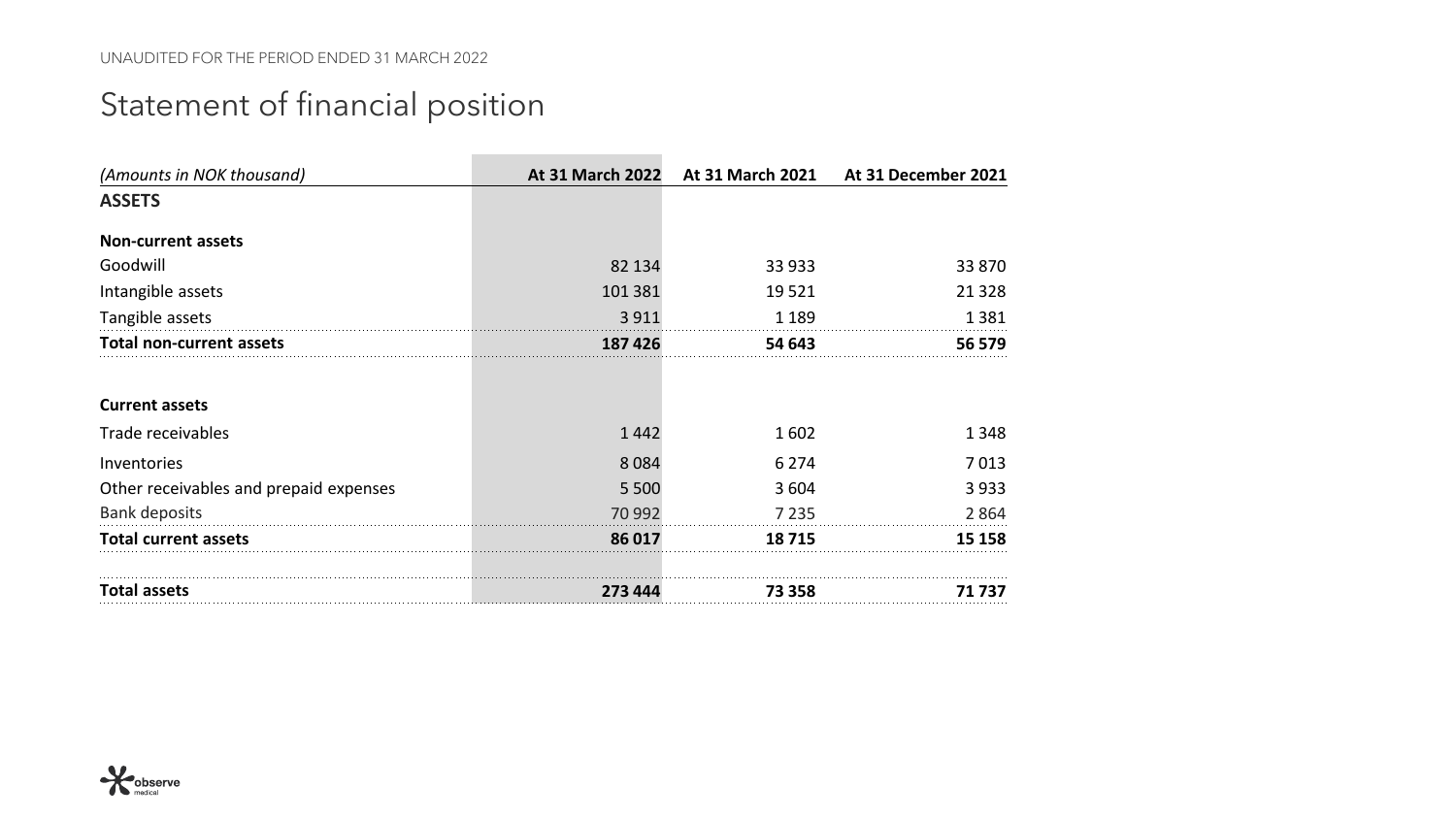### Statement of financial position

| (Amounts in NOK thousand)              | At 31 March 2022 | At 31 March 2021 | At 31 December 2021 |
|----------------------------------------|------------------|------------------|---------------------|
| <b>ASSETS</b>                          |                  |                  |                     |
|                                        |                  |                  |                     |
| <b>Non-current assets</b>              |                  |                  |                     |
| Goodwill                               | 82 134           | 33 933           | 33 870              |
| Intangible assets                      | 101 381          | 19 5 21          | 21 3 28             |
| Tangible assets                        | 3911             | 1 1 8 9          | 1381                |
| <b>Total non-current assets</b>        | 187426           | 54 643           | 56 579              |
|                                        |                  |                  |                     |
| <b>Current assets</b>                  |                  |                  |                     |
| Trade receivables                      | 1442             | 1602             | 1 3 4 8             |
| Inventories                            | 8084             | 6 2 7 4          | 7013                |
| Other receivables and prepaid expenses | 5 5 0 0          | 3 6 0 4          | 3933                |
| <b>Bank deposits</b>                   | 70 992           | 7 2 3 5          | 2864                |
| <b>Total current assets</b>            | 86017            | 18715            | 15 1 58             |
| <b>Total assets</b>                    | 273 444          | 73 358           | 71 737              |
|                                        |                  |                  |                     |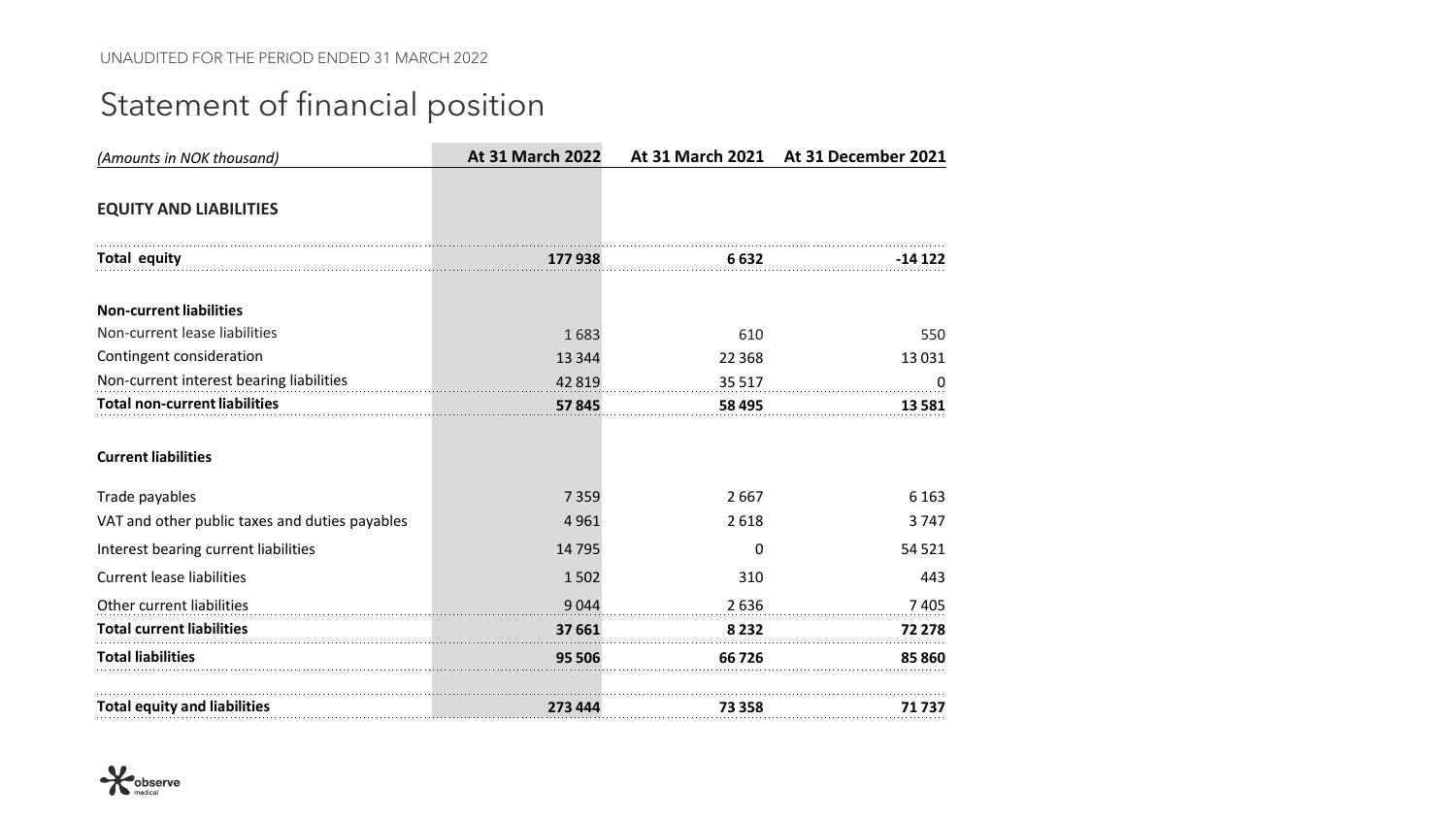### Statement of financial position

| (Amounts in NOK thousand)                      | At 31 March 2022 |          | At 31 March 2021 At 31 December 2021 |
|------------------------------------------------|------------------|----------|--------------------------------------|
| <b>EQUITY AND LIABILITIES</b>                  |                  |          |                                      |
| Total equity                                   | 177938           | 6 6 3 2  | -14 122                              |
| <b>Non-current liabilities</b>                 |                  |          |                                      |
| Non-current lease liabilities                  | 1683             | 610      | 550                                  |
| Contingent consideration                       | 13 3 4 4         | 22 3 6 8 | 13031                                |
| Non-current interest bearing liabilities       | 42819            | 35 5 17  | 0                                    |
| <b>Total non-current liabilities</b>           | 57845            | 58 4 95  | 13581                                |
| <b>Current liabilities</b>                     |                  |          |                                      |
| Trade payables                                 | 7359             | 2667     | 6 1 6 3                              |
| VAT and other public taxes and duties payables | 4961             | 2618     | 3747                                 |
| Interest bearing current liabilities           | 14795            | 0        | 54 521                               |
| Current lease liabilities                      | 1502             | 310      | 443                                  |
| Other current liabilities                      | 9044             | 2636     | 7405                                 |
| <b>Total current liabilities</b>               | 37 661           | 8 2 3 2  | 72 278                               |
| <b>Total liabilities</b>                       | 95 506           | 66726    | 85860                                |
| <b>Total equity and liabilities</b>            | 273 444          | 73 358   | 71737                                |

**Y**observe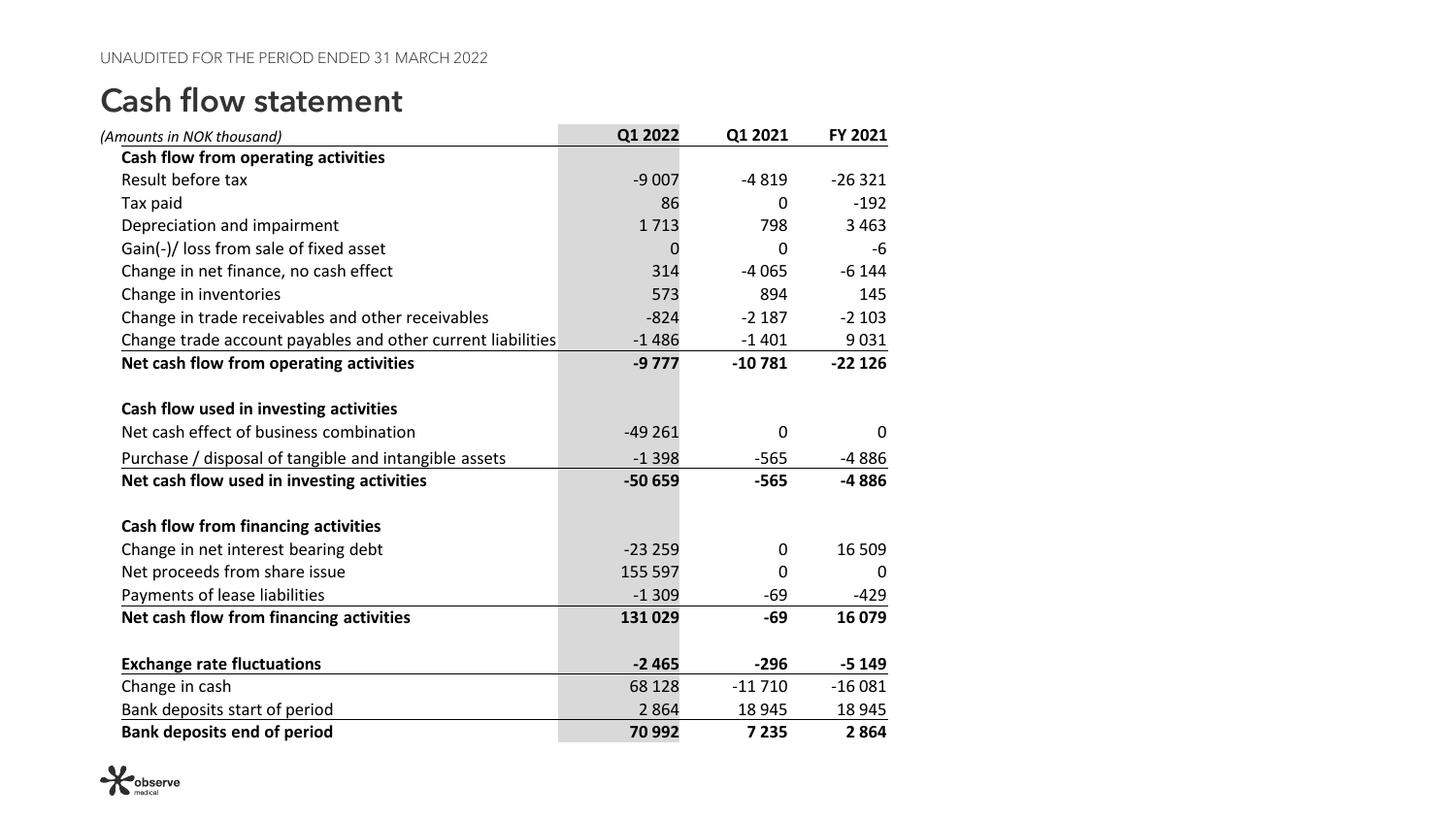### **Cash flow statement**

| (Amounts in NOK thousand)                                   | Q1 2022  | Q1 2021  | FY 2021  |
|-------------------------------------------------------------|----------|----------|----------|
| Cash flow from operating activities                         |          |          |          |
| Result before tax                                           | $-9007$  | $-4819$  | $-26321$ |
| Tax paid                                                    | 86       | $\Omega$ | $-192$   |
| Depreciation and impairment                                 | 1713     | 798      | 3463     |
| Gain(-)/ loss from sale of fixed asset                      | 0        | $\Omega$ | -6       |
| Change in net finance, no cash effect                       | 314      | $-4065$  | $-6144$  |
| Change in inventories                                       | 573      | 894      | 145      |
| Change in trade receivables and other receivables           | $-824$   | $-2.187$ | $-2103$  |
| Change trade account payables and other current liabilities | $-1486$  | $-1401$  | 9031     |
| Net cash flow from operating activities                     | $-9777$  | $-10781$ | $-22126$ |
|                                                             |          |          |          |
| Cash flow used in investing activities                      |          |          |          |
| Net cash effect of business combination                     | $-49261$ | $\Omega$ | $\Omega$ |
| Purchase / disposal of tangible and intangible assets       | $-1398$  | $-565$   | $-4886$  |
| Net cash flow used in investing activities                  | $-50659$ | $-565$   | $-4886$  |
| Cash flow from financing activities                         |          |          |          |
| Change in net interest bearing debt                         | $-23259$ | 0        | 16 509   |
| Net proceeds from share issue                               | 155 597  | $\Omega$ | 0        |
| Payments of lease liabilities                               | $-1309$  | $-69$    | $-429$   |
| Net cash flow from financing activities                     | 131029   | -69      | 16079    |
| <b>Exchange rate fluctuations</b>                           | $-2465$  | $-296$   | $-5149$  |
| Change in cash                                              | 68 1 28  | $-11710$ | $-16081$ |
| Bank deposits start of period                               | 2864     | 18 945   | 18945    |
| <b>Bank deposits end of period</b>                          | 70992    | 7 2 3 5  | 2864     |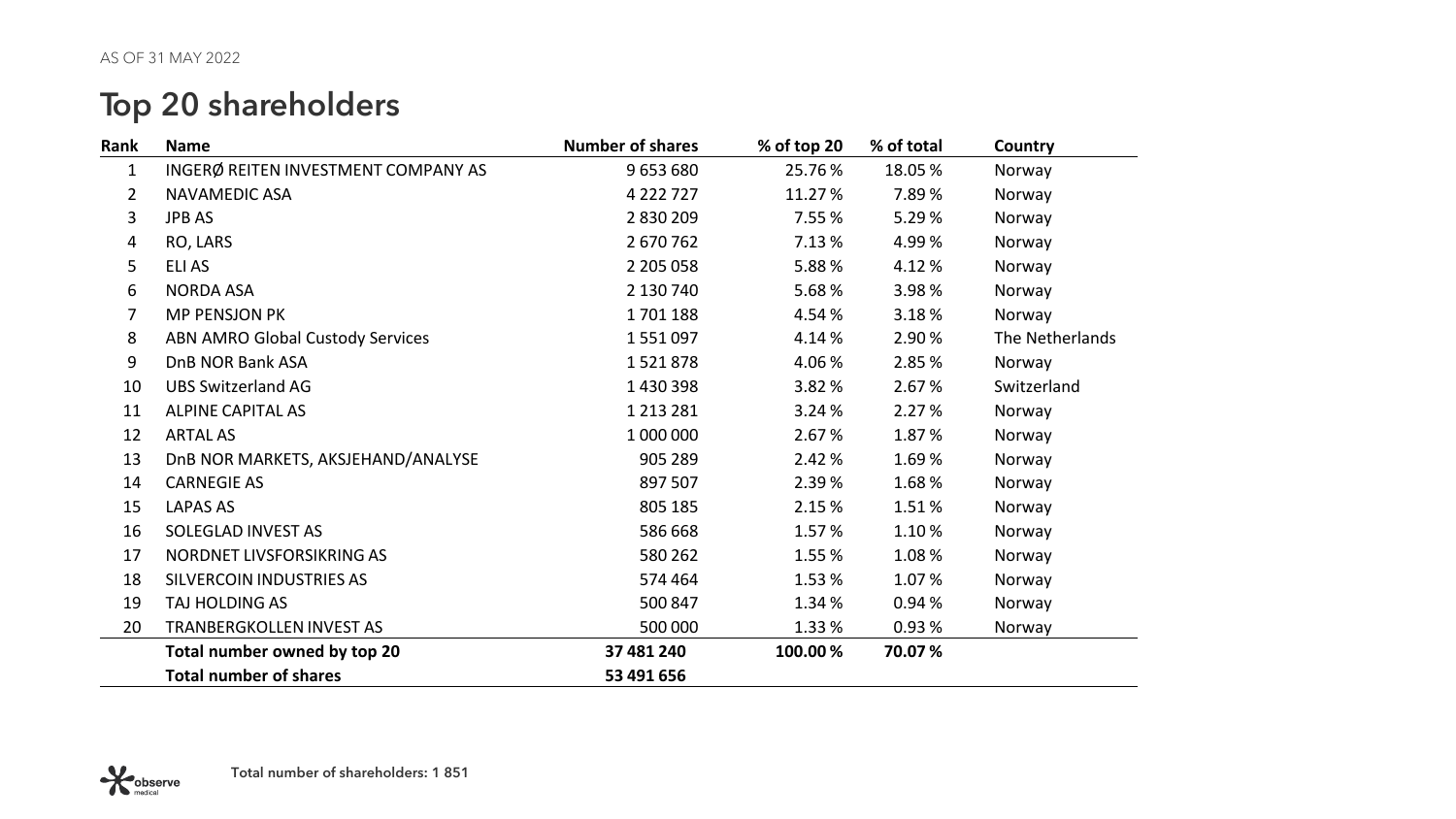### **Top 20 shareholders**

| Rank | <b>Name</b>                        | <b>Number of shares</b> | % of top 20 | % of total | Country         |
|------|------------------------------------|-------------------------|-------------|------------|-----------------|
| 1    | INGERØREITEN INVESTMENT COMPANY AS | 9653680                 | 25.76%      | 18.05%     | Norway          |
| 2    | NAVAMEDIC ASA                      | 4 2 2 2 7 2 7           | 11.27%      | 7.89%      | Norway          |
| 3    | JPB AS                             | 2 830 209               | 7.55%       | 5.29%      | Norway          |
| 4    | RO, LARS                           | 2670762                 | 7.13%       | 4.99%      | Norway          |
| 5    | ELI AS                             | 2 205 058               | 5.88%       | 4.12%      | Norway          |
| 6    | <b>NORDA ASA</b>                   | 2 130 740               | 5.68%       | 3.98%      | Norway          |
| 7    | <b>MP PENSJON PK</b>               | 1701188                 | 4.54%       | 3.18%      | Norway          |
| 8    | ABN AMRO Global Custody Services   | 1551097                 | 4.14%       | 2.90%      | The Netherlands |
| 9    | DnB NOR Bank ASA                   | 1521878                 | 4.06%       | 2.85%      | Norway          |
| 10   | <b>UBS Switzerland AG</b>          | 1430398                 | 3.82%       | 2.67%      | Switzerland     |
| 11   | <b>ALPINE CAPITAL AS</b>           | 1 2 1 3 2 8 1           | 3.24%       | 2.27%      | Norway          |
| 12   | <b>ARTAL AS</b>                    | 1 000 000               | 2.67 %      | 1.87%      | Norway          |
| 13   | DnB NOR MARKETS, AKSJEHAND/ANALYSE | 905 289                 | 2.42%       | 1.69%      | Norway          |
| 14   | <b>CARNEGIE AS</b>                 | 897507                  | 2.39%       | 1.68%      | Norway          |
| 15   | LAPAS AS                           | 805 185                 | 2.15%       | 1.51%      | Norway          |
| 16   | SOLEGLAD INVEST AS                 | 586 668                 | 1.57%       | 1.10%      | Norway          |
| 17   | NORDNET LIVSFORSIKRING AS          | 580 262                 | 1.55%       | 1.08%      | Norway          |
| 18   | SILVERCOIN INDUSTRIES AS           | 574 464                 | 1.53%       | 1.07%      | Norway          |
| 19   | TAJ HOLDING AS                     | 500 847                 | 1.34 %      | 0.94%      | Norway          |
| 20   | <b>TRANBERGKOLLEN INVEST AS</b>    | 500 000                 | 1.33%       | 0.93%      | Norway          |
|      | Total number owned by top 20       | 37 481 240              | 100.00%     | 70.07%     |                 |
|      | <b>Total number of shares</b>      | 53 491 656              |             |            |                 |

![](_page_19_Picture_3.jpeg)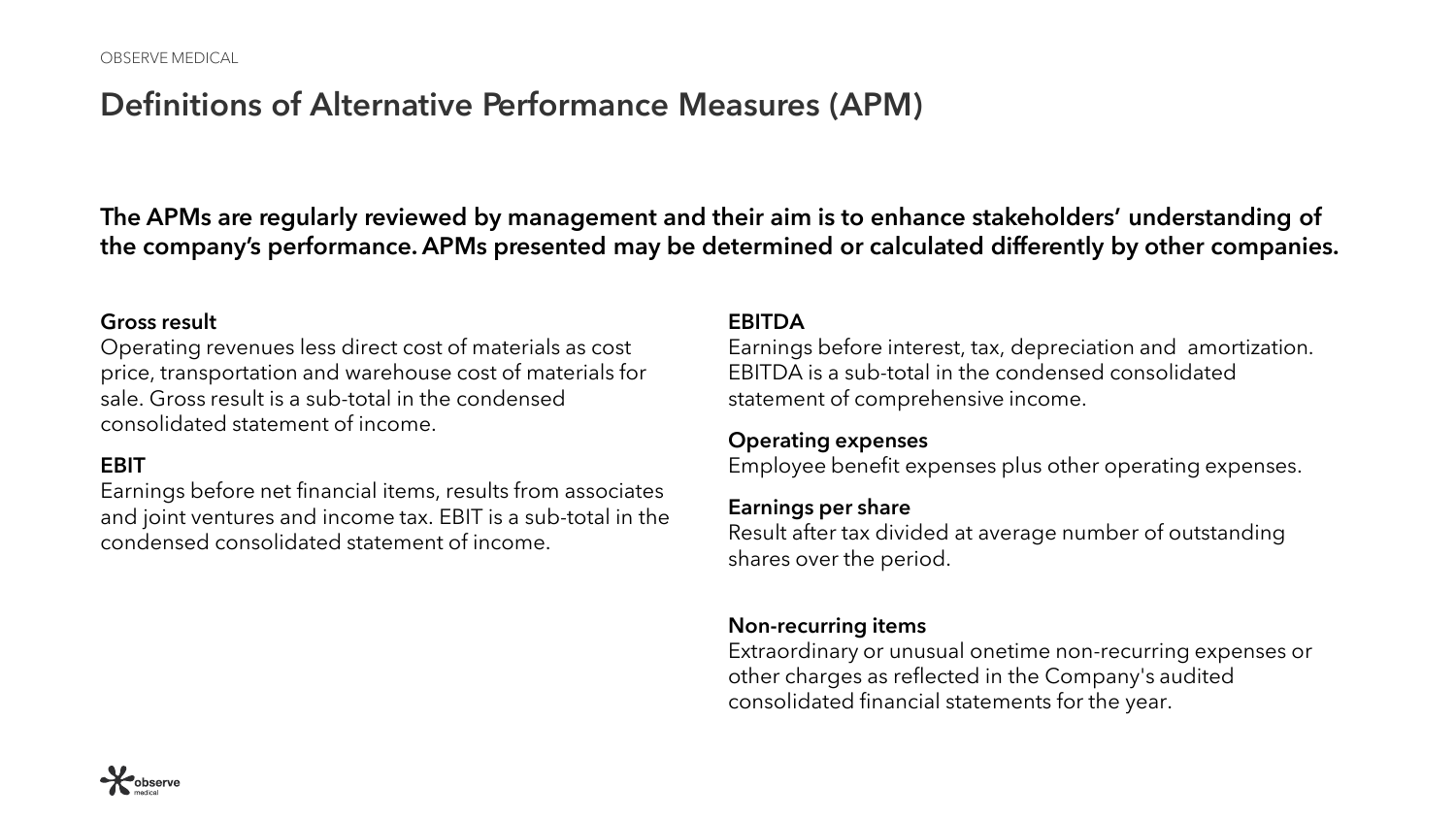### **Definitions of Alternative Performance Measures (APM)**

The APMs are regularly reviewed by management and their aim is to enhance stakeholders' understanding of the company's performance. APMs presented may be determined or calculated differently by other companies.

#### Gross result

Operating revenues less direct cost of materials as cost price, transportation and warehouse cost of materials for sale. Gross result is a sub-total in the condensed consolidated statement of income.

#### EBIT

Earnings before net financial items, results from associates and joint ventures and income tax. EBIT is a sub-total in the condensed consolidated statement of income.

#### EBITDA

Earnings before interest, tax, depreciation and amortization. EBITDA is a sub-total in the condensed consolidated statement of comprehensive income.

#### Operating expenses

Employee benefit expenses plus other operating expenses.

#### Earnings per share

Result after tax divided at average number of outstanding shares over the period.

#### Non-recurring items

Extraordinary or unusual onetime non-recurring expenses or other charges as reflected in the Company's audited consolidated financial statements for the year.